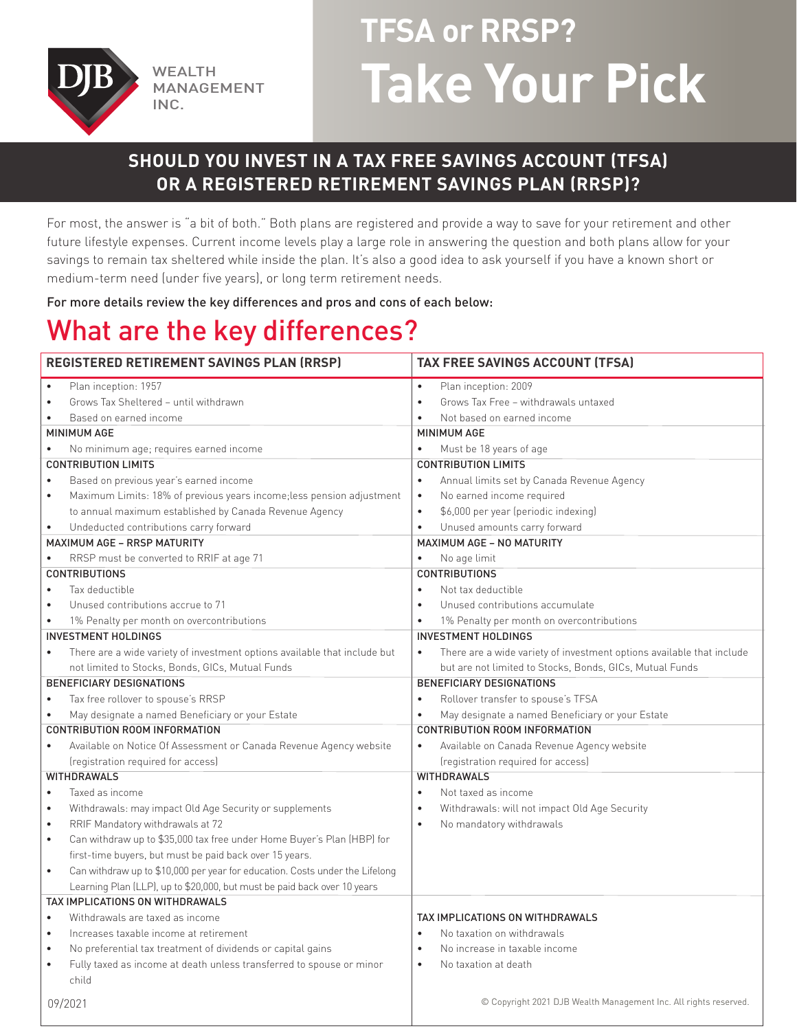

MANAGEMENT INC.

# **TFSA or RRSP?**  WEALTH **Take Your Pick**

## **SHOULD YOU INVEST IN A TAX FREE SAVINGS ACCOUNT (TFSA) OR A REGISTERED RETIREMENT SAVINGS PLAN (RRSP)?**

For most, the answer is "a bit of both." Both plans are registered and provide a way to save for your retirement and other future lifestyle expenses. Current income levels play a large role in answering the question and both plans allow for your savings to remain tax sheltered while inside the plan. It's also a good idea to ask yourself if you have a known short or medium-term need (under five years), or long term retirement needs.

For more details review the key differences and pros and cons of each below:

## What are the key differences?

| <b>REGISTERED RETIREMENT SAVINGS PLAN (RRSP)</b>                                          | <b>TAX FREE SAVINGS ACCOUNT (TFSA)</b>                                             |  |  |
|-------------------------------------------------------------------------------------------|------------------------------------------------------------------------------------|--|--|
| Plan inception: 1957<br>$\bullet$                                                         | Plan inception: 2009<br>$\bullet$                                                  |  |  |
| Grows Tax Sheltered - until withdrawn<br>$\bullet$                                        | Grows Tax Free - withdrawals untaxed<br>$\bullet$                                  |  |  |
| Based on earned income<br>$\bullet$                                                       | Not based on earned income                                                         |  |  |
| <b>MINIMUM AGE</b>                                                                        | <b>MINIMUM AGE</b>                                                                 |  |  |
| No minimum age; requires earned income<br>$\bullet$                                       | Must be 18 years of age<br>$\bullet$                                               |  |  |
| <b>CONTRIBUTION LIMITS</b>                                                                | <b>CONTRIBUTION LIMITS</b>                                                         |  |  |
| Based on previous year's earned income                                                    | Annual limits set by Canada Revenue Agency<br>$\bullet$                            |  |  |
| Maximum Limits: 18% of previous years income; less pension adjustment<br>$\bullet$        | No earned income required<br>$\bullet$                                             |  |  |
| to annual maximum established by Canada Revenue Agency                                    | \$6,000 per year (periodic indexing)<br>$\bullet$                                  |  |  |
| Undeducted contributions carry forward<br>$\bullet$                                       | Unused amounts carry forward<br>$\bullet$                                          |  |  |
| MAXIMUM AGE - RRSP MATURITY                                                               | MAXIMUM AGE - NO MATURITY                                                          |  |  |
| RRSP must be converted to RRIF at age 71<br>$\bullet$                                     | No age limit<br>$\bullet$                                                          |  |  |
| <b>CONTRIBUTIONS</b>                                                                      | <b>CONTRIBUTIONS</b>                                                               |  |  |
| Tax deductible<br>$\bullet$                                                               | Not tax deductible<br>$\bullet$                                                    |  |  |
| Unused contributions accrue to 71<br>$\bullet$                                            | Unused contributions accumulate<br>$\bullet$                                       |  |  |
| 1% Penalty per month on overcontributions<br>$\bullet$                                    | 1% Penalty per month on overcontributions<br>$\bullet$                             |  |  |
| <b>INVESTMENT HOLDINGS</b>                                                                | <b>INVESTMENT HOLDINGS</b>                                                         |  |  |
| There are a wide variety of investment options available that include but<br>$\bullet$    | There are a wide variety of investment options available that include<br>$\bullet$ |  |  |
| not limited to Stocks, Bonds, GICs, Mutual Funds                                          | but are not limited to Stocks, Bonds, GICs, Mutual Funds                           |  |  |
| <b>BENEFICIARY DESIGNATIONS</b>                                                           | <b>BENEFICIARY DESIGNATIONS</b>                                                    |  |  |
| Tax free rollover to spouse's RRSP<br>$\bullet$                                           | Rollover transfer to spouse's TFSA<br>$\bullet$                                    |  |  |
| May designate a named Beneficiary or your Estate<br>$\bullet$                             | May designate a named Beneficiary or your Estate<br>$\bullet$                      |  |  |
| CONTRIBUTION ROOM INFORMATION                                                             | <b>CONTRIBUTION ROOM INFORMATION</b>                                               |  |  |
| Available on Notice Of Assessment or Canada Revenue Agency website<br>$\bullet$           | Available on Canada Revenue Agency website<br>$\bullet$                            |  |  |
| (registration required for access)                                                        | (registration required for access)                                                 |  |  |
| <b>WITHDRAWALS</b>                                                                        | <b>WITHDRAWALS</b>                                                                 |  |  |
| Taxed as income<br>$\bullet$                                                              | Not taxed as income<br>$\bullet$                                                   |  |  |
| Withdrawals: may impact Old Age Security or supplements<br>$\bullet$                      | Withdrawals: will not impact Old Age Security                                      |  |  |
| RRIF Mandatory withdrawals at 72<br>$\bullet$                                             | No mandatory withdrawals<br>$\bullet$                                              |  |  |
| Can withdraw up to \$35,000 tax free under Home Buyer's Plan (HBP) for<br>$\bullet$       |                                                                                    |  |  |
| first-time buyers, but must be paid back over 15 years.                                   |                                                                                    |  |  |
| Can withdraw up to \$10,000 per year for education. Costs under the Lifelong<br>$\bullet$ |                                                                                    |  |  |
| Learning Plan (LLP), up to \$20,000, but must be paid back over 10 years                  |                                                                                    |  |  |
| TAX IMPLICATIONS ON WITHDRAWALS                                                           |                                                                                    |  |  |
| Withdrawals are taxed as income<br>$\bullet$                                              | TAX IMPLICATIONS ON WITHDRAWALS                                                    |  |  |
| Increases taxable income at retirement<br>$\bullet$                                       | No taxation on withdrawals<br>$\bullet$                                            |  |  |
| No preferential tax treatment of dividends or capital gains<br>$\bullet$                  | No increase in taxable income<br>$\bullet$                                         |  |  |
| Fully taxed as income at death unless transferred to spouse or minor<br>$\bullet$         | No taxation at death<br>$\bullet$                                                  |  |  |
| child                                                                                     |                                                                                    |  |  |
| 09/2021                                                                                   | © Copyright 2021 DJB Wealth Management Inc. All rights reserved.                   |  |  |